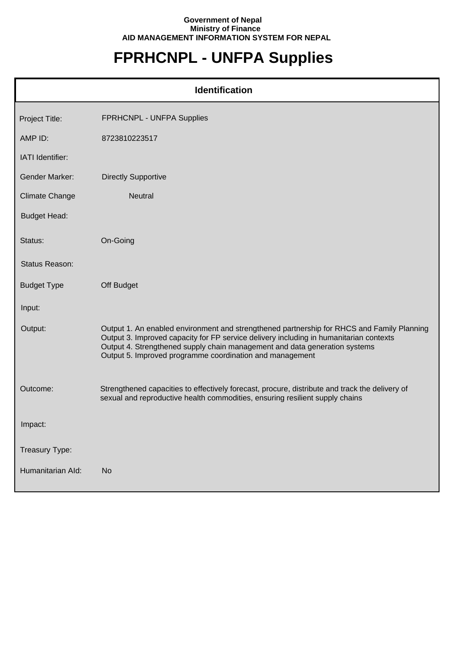## **Government of Nepal Ministry of Finance AID MANAGEMENT INFORMATION SYSTEM FOR NEPAL**

## **FPRHCNPL - UNFPA Supplies**

| <b>Identification</b> |                                                                                                                                                                                                                                                                                                                                |  |
|-----------------------|--------------------------------------------------------------------------------------------------------------------------------------------------------------------------------------------------------------------------------------------------------------------------------------------------------------------------------|--|
| Project Title:        | FPRHCNPL - UNFPA Supplies                                                                                                                                                                                                                                                                                                      |  |
| AMP ID:               | 8723810223517                                                                                                                                                                                                                                                                                                                  |  |
| IATI Identifier:      |                                                                                                                                                                                                                                                                                                                                |  |
| <b>Gender Marker:</b> | <b>Directly Supportive</b>                                                                                                                                                                                                                                                                                                     |  |
| <b>Climate Change</b> | Neutral                                                                                                                                                                                                                                                                                                                        |  |
| <b>Budget Head:</b>   |                                                                                                                                                                                                                                                                                                                                |  |
| Status:               | On-Going                                                                                                                                                                                                                                                                                                                       |  |
| Status Reason:        |                                                                                                                                                                                                                                                                                                                                |  |
| <b>Budget Type</b>    | Off Budget                                                                                                                                                                                                                                                                                                                     |  |
| Input:                |                                                                                                                                                                                                                                                                                                                                |  |
| Output:               | Output 1. An enabled environment and strengthened partnership for RHCS and Family Planning<br>Output 3. Improved capacity for FP service delivery including in humanitarian contexts<br>Output 4. Strengthened supply chain management and data generation systems<br>Output 5. Improved programme coordination and management |  |
| Outcome:              | Strengthened capacities to effectively forecast, procure, distribute and track the delivery of<br>sexual and reproductive health commodities, ensuring resilient supply chains                                                                                                                                                 |  |
| Impact:               |                                                                                                                                                                                                                                                                                                                                |  |
| Treasury Type:        |                                                                                                                                                                                                                                                                                                                                |  |
| Humanitarian Ald:     | <b>No</b>                                                                                                                                                                                                                                                                                                                      |  |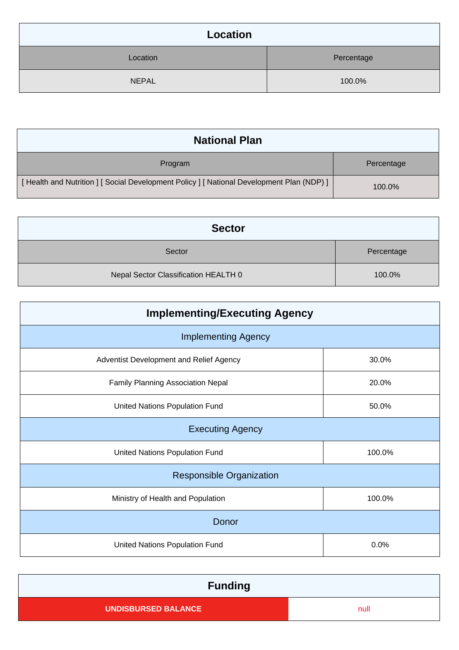| Location     |            |
|--------------|------------|
| Location     | Percentage |
| <b>NEPAL</b> | 100.0%     |

| <b>National Plan</b>                                                                    |            |
|-----------------------------------------------------------------------------------------|------------|
| Program                                                                                 | Percentage |
| [Health and Nutrition ] [Social Development Policy ] [National Development Plan (NDP) ] | 100.0%     |

| <b>Sector</b>                        |            |
|--------------------------------------|------------|
| Sector                               | Percentage |
| Nepal Sector Classification HEALTH 0 | 100.0%     |

| <b>Implementing/Executing Agency</b>    |        |  |
|-----------------------------------------|--------|--|
| <b>Implementing Agency</b>              |        |  |
| Adventist Development and Relief Agency | 30.0%  |  |
| Family Planning Association Nepal       | 20.0%  |  |
| United Nations Population Fund          | 50.0%  |  |
| <b>Executing Agency</b>                 |        |  |
| United Nations Population Fund          | 100.0% |  |
| <b>Responsible Organization</b>         |        |  |
| Ministry of Health and Population       | 100.0% |  |
| Donor                                   |        |  |
| United Nations Population Fund          | 0.0%   |  |

| <b>Funding</b>             |      |
|----------------------------|------|
| <b>UNDISBURSED BALANCE</b> | null |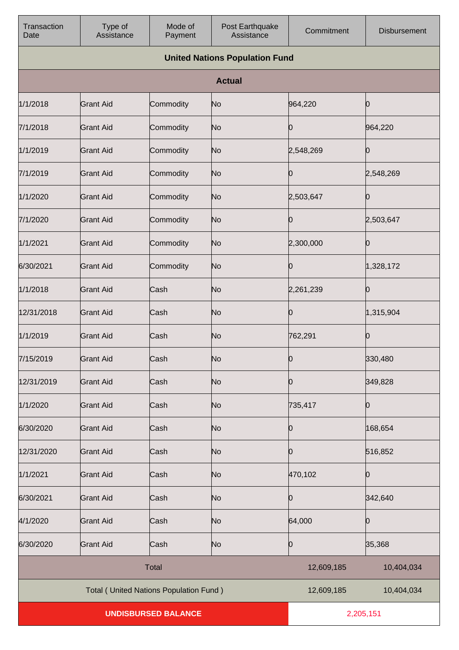| Transaction<br>Date        | Type of<br>Assistance                           | Mode of<br>Payment | Post Earthquake<br>Assistance | Commitment | <b>Disbursement</b> |
|----------------------------|-------------------------------------------------|--------------------|-------------------------------|------------|---------------------|
|                            | <b>United Nations Population Fund</b>           |                    |                               |            |                     |
|                            |                                                 |                    | <b>Actual</b>                 |            |                     |
| 1/1/2018                   | <b>Grant Aid</b>                                | Commodity          | No                            | 964,220    | O                   |
| 7/1/2018                   | <b>Grant Aid</b>                                | Commodity          | No                            | Ю          | 964,220             |
| 1/1/2019                   | <b>Grant Aid</b>                                | Commodity          | No                            | 2,548,269  | 0                   |
| 7/1/2019                   | <b>Grant Aid</b>                                | Commodity          | No                            | Ю          | 2,548,269           |
| 1/1/2020                   | <b>Grant Aid</b>                                | Commodity          | No                            | 2,503,647  |                     |
| 7/1/2020                   | <b>Grant Aid</b>                                | Commodity          | No                            | Ю          | 2,503,647           |
| 1/1/2021                   | <b>Grant Aid</b>                                | Commodity          | No                            | 2,300,000  |                     |
| 6/30/2021                  | <b>Grant Aid</b>                                | Commodity          | No                            | 10         | 1,328,172           |
| 1/1/2018                   | <b>Grant Aid</b>                                | Cash               | No                            | 2,261,239  | 0                   |
| 12/31/2018                 | <b>Grant Aid</b>                                | Cash               | No                            | 10         | 1,315,904           |
| 1/1/2019                   | <b>Grant Aid</b>                                | Cash               | No                            | 762,291    | 0                   |
| 7/15/2019                  | <b>Grant Aid</b>                                | Cash               | No                            | 0          | 330,480             |
| 12/31/2019                 | <b>Grant Aid</b>                                | Cash               | No                            | 10         | 349,828             |
| 1/1/2020                   | <b>Grant Aid</b>                                | Cash               | No                            | 735,417    | 0                   |
| 6/30/2020                  | <b>Grant Aid</b>                                | Cash               | No                            | Ю          | 168,654             |
| 12/31/2020                 | <b>Grant Aid</b>                                | Cash               | No                            | 10         | 516,852             |
| 1/1/2021                   | <b>Grant Aid</b>                                | Cash               | No                            | 470,102    | Ю                   |
| 6/30/2021                  | <b>Grant Aid</b>                                | Cash               | No                            | Ю          | 342,640             |
| 4/1/2020                   | <b>Grant Aid</b>                                | Cash               | No                            | 64,000     | Ю                   |
| 6/30/2020                  | <b>Grant Aid</b>                                | Cash               | No                            | Ю          | 35,368              |
|                            |                                                 | <b>Total</b>       |                               | 12,609,185 | 10,404,034          |
|                            | <b>Total ( United Nations Population Fund )</b> |                    |                               | 12,609,185 | 10,404,034          |
| <b>UNDISBURSED BALANCE</b> |                                                 |                    | 2,205,151                     |            |                     |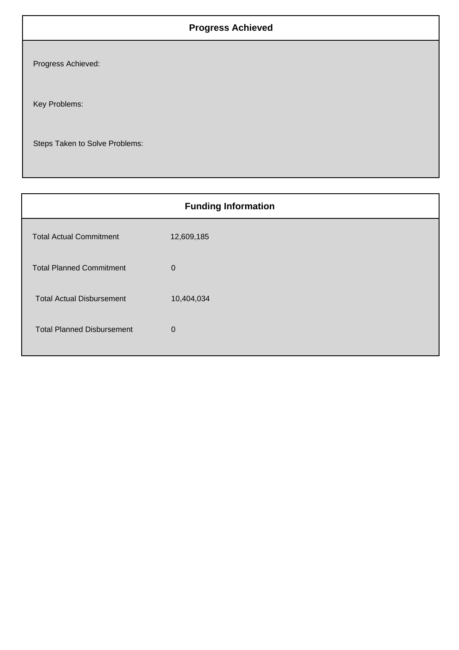## **Progress Achieved**

Progress Achieved:

Key Problems:

Steps Taken to Solve Problems:

| <b>Funding Information</b>        |             |  |
|-----------------------------------|-------------|--|
| <b>Total Actual Commitment</b>    | 12,609,185  |  |
| <b>Total Planned Commitment</b>   | $\mathbf 0$ |  |
| <b>Total Actual Disbursement</b>  | 10,404,034  |  |
| <b>Total Planned Disbursement</b> | $\Omega$    |  |